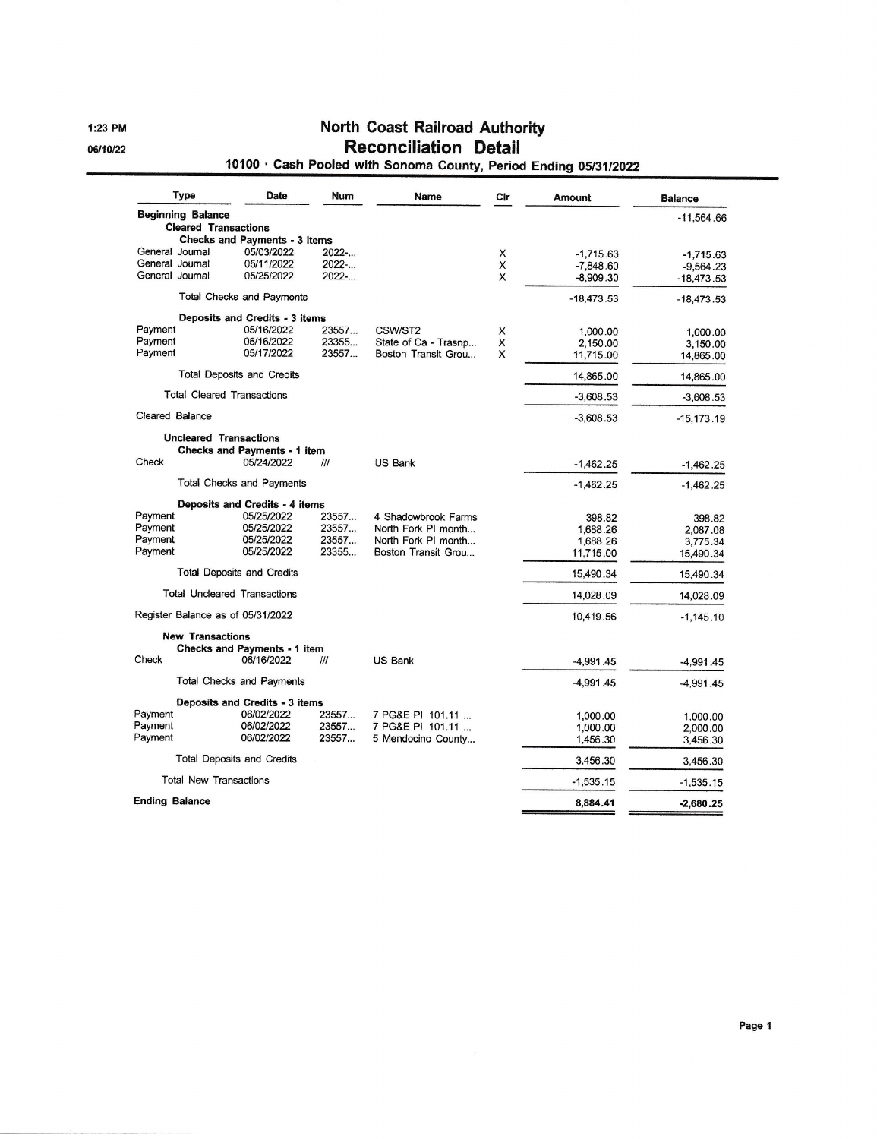l:23 PM 06/10/22

### North Goast Railroad Authority Reconciliation Detail

### 10100 · Cash Pooled with Sonoma County, Period Ending 05/31/2022

| <b>Type</b>                       | <b>Date</b>                                       | Num            | Name                                        | Cir    | Amount       | <b>Balance</b>     |
|-----------------------------------|---------------------------------------------------|----------------|---------------------------------------------|--------|--------------|--------------------|
| <b>Beginning Balance</b>          |                                                   |                |                                             |        |              | -11.564.66         |
| <b>Cleared Transactions</b>       | <b>Checks and Payments - 3 items</b>              |                |                                             |        |              |                    |
| General Journal                   | 05/03/2022                                        | $2022-$        |                                             | X      | $-1.715.63$  | $-1,715.63$        |
| General Journal                   | 05/11/2022                                        | 2022           |                                             | X      | $-7,848.60$  | $-9,564.23$        |
| General Journal                   | 05/25/2022                                        | 2022           |                                             | X      | $-8,909.30$  | -18,473.53         |
|                                   | <b>Total Checks and Payments</b>                  |                |                                             |        | $-18,473.53$ | $-18,473.53$       |
|                                   | Deposits and Credits - 3 items                    |                |                                             |        |              |                    |
| Payment                           | 05/16/2022                                        | 23557          | CSW/ST2                                     | X      | 1.000.00     | 1,000.00           |
| Payment<br>Payment                | 05/16/2022<br>05/17/2022                          | 23355<br>23557 | State of Ca - Trasnp<br>Boston Transit Grou | X<br>X | 2,150.00     | 3.150.00           |
|                                   |                                                   |                |                                             |        | 11,715.00    | 14,865.00          |
|                                   | <b>Total Deposits and Credits</b>                 |                |                                             |        | 14,865.00    | 14,865.00          |
|                                   | <b>Total Cleared Transactions</b>                 |                |                                             |        | $-3,608.53$  | $-3,608.53$        |
| Cleared Balance                   |                                                   |                |                                             |        | $-3,608.53$  | $-15,173.19$       |
| <b>Uncleared Transactions</b>     |                                                   |                |                                             |        |              |                    |
| Check                             | Checks and Payments - 1 item<br>05/24/2022        | III            | <b>US Bank</b>                              |        | $-1,462.25$  | $-1,462.25$        |
|                                   | <b>Total Checks and Payments</b>                  |                |                                             |        | $-1,462.25$  | $-1,462.25$        |
|                                   |                                                   |                |                                             |        |              |                    |
| Payment                           | Deposits and Credits - 4 items<br>05/25/2022      | 23557          | 4 Shadowbrook Farms                         |        | 398.82       |                    |
| Payment                           | 05/25/2022                                        | 23557          | North Fork PI month                         |        | 1,688.26     | 398.82<br>2,087.08 |
| Payment                           | 05/25/2022                                        | 23557          | North Fork PI month                         |        | 1,688.26     | 3,775.34           |
| Payment                           | 05/25/2022                                        | 23355          | Boston Transit Grou                         |        | 11,715.00    | 15,490.34          |
|                                   | Total Deposits and Credits                        |                |                                             |        | 15,490.34    | 15.490.34          |
|                                   | <b>Total Uncleared Transactions</b>               |                |                                             |        | 14,028.09    | 14,028.09          |
| Register Balance as of 05/31/2022 |                                                   |                |                                             |        | 10,419.56    | $-1,145.10$        |
| <b>New Transactions</b>           |                                                   |                |                                             |        |              |                    |
| Check                             | <b>Checks and Payments - 1 item</b><br>06/16/2022 | ///            | <b>US Bank</b>                              |        | $-4,991.45$  | $-4,991.45$        |
|                                   | <b>Total Checks and Payments</b>                  |                |                                             |        | $-4,991.45$  |                    |
|                                   |                                                   |                |                                             |        |              | -4,991.45          |
| Payment                           | Deposits and Credits - 3 items<br>06/02/2022      | 23557          | 7 PG&E PI 101.11                            |        | 1,000.00     | 1,000.00           |
| Payment                           | 06/02/2022                                        | 23557          | 7 PG&E PI 101.11                            |        | 1,000.00     | 2,000.00           |
| Payment                           | 06/02/2022                                        | 23557          | 5 Mendocino County                          |        | 1.456.30     | 3,456.30           |
|                                   | Total Deposits and Credits                        |                |                                             |        | 3,456.30     | 3,456.30           |
| <b>Total New Transactions</b>     |                                                   |                |                                             |        | $-1,535.15$  | $-1,535.15$        |
| <b>Ending Balance</b>             |                                                   |                |                                             |        | 8,884.41     | $-2,680.25$        |
|                                   |                                                   |                |                                             |        |              |                    |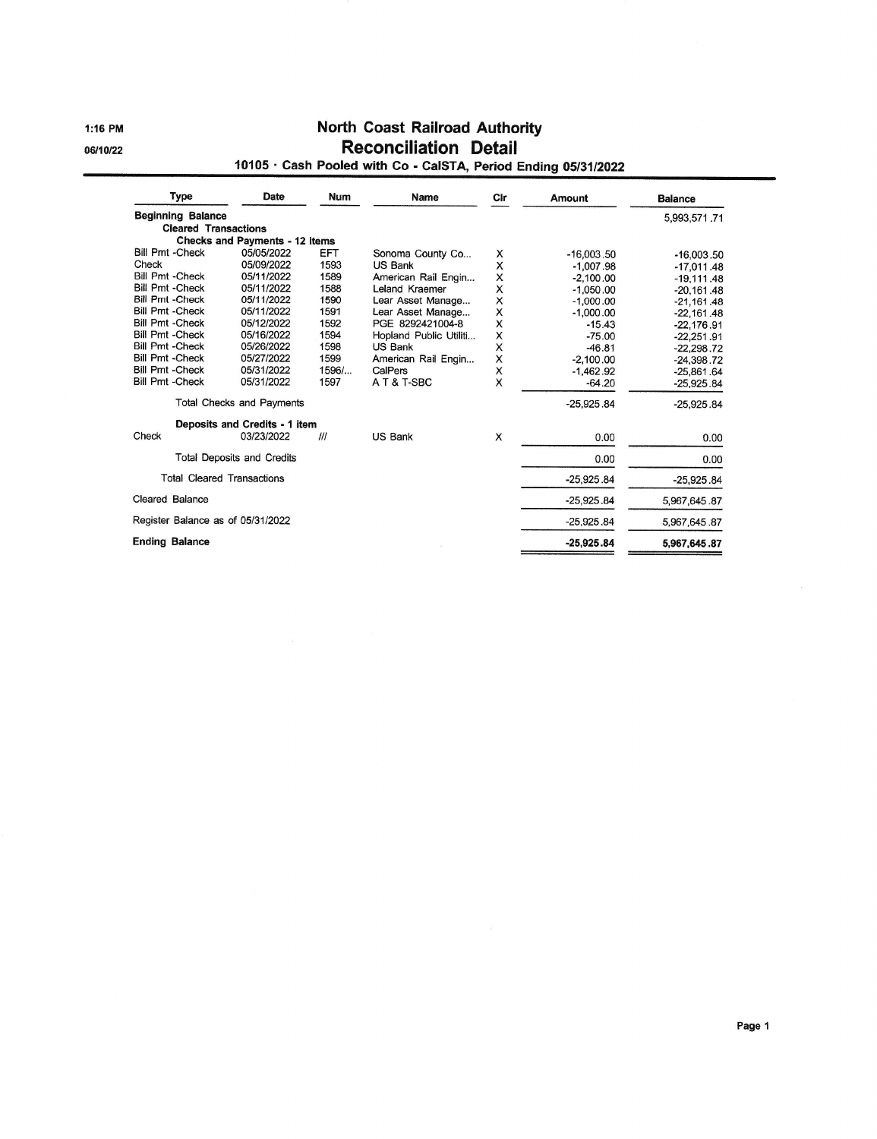l:16 PM 06/10/22

### North Coast Railroad Authority Reconciliation Detail

# <sup>10105</sup>. Cash Pooled with Co - CalSTA, Period Ending <sup>0513112022</sup>

| <b>Type</b>                       | Date                                                | <b>Num</b>   | <b>Name</b>            | Cir | Amount       | <b>Balance</b> |
|-----------------------------------|-----------------------------------------------------|--------------|------------------------|-----|--------------|----------------|
| <b>Beginning Balance</b>          |                                                     |              |                        |     |              | 5,993,571.71   |
| <b>Cleared Transactions</b>       |                                                     |              |                        |     |              |                |
| <b>Bill Pmt -Check</b>            | <b>Checks and Payments - 12 items</b><br>05/05/2022 | EFT          |                        |     |              |                |
| Check                             | 05/09/2022                                          | 1593         | Sonoma County Co       | X   | $-16.003.50$ | $-16,003,50$   |
| <b>Bill Pmt -Check</b>            | 05/11/2022                                          | 1589         | US Bank                | x   | $-1.007.98$  | $-17.011.48$   |
| <b>Bill Pmt - Check</b>           | 05/11/2022                                          |              | American Rail Engin    | X   | $-2,100.00$  | $-19,111.48$   |
| <b>Bill Pmt -Check</b>            | 05/11/2022                                          | 1588<br>1590 | Leland Kraemer         | X   | $-1.050.00$  | $-20,161.48$   |
| <b>Bill Pmt -Check</b>            | 05/11/2022                                          |              | Lear Asset Manage      | X   | $-1,000.00$  | $-21,161.48$   |
| <b>Bill Pmt -Check</b>            |                                                     | 1591         | Lear Asset Manage      | x   | $-1,000.00$  | $-22,161.48$   |
|                                   | 05/12/2022                                          | 1592         | PGE 8292421004-8       | x   | $-15.43$     | $-22.176.91$   |
| <b>Bill Pmt -Check</b>            | 05/16/2022                                          | 1594         | Hopland Public Utiliti | X   | $-75.00$     | $-22,251.91$   |
| <b>Bill Pmt - Check</b>           | 05/26/2022                                          | 1598         | US Bank                | X   | $-46.81$     | $-22,298.72$   |
| <b>Bill Pmt -Check</b>            | 05/27/2022                                          | 1599         | American Rail Engin    | X   | $-2,100.00$  | $-24,398.72$   |
| <b>Bill Pmt - Check</b>           | 05/31/2022                                          | 1596/        | CalPers                | X   | $-1.462.92$  | $-25.861.64$   |
| <b>Bill Pmt - Check</b>           | 05/31/2022                                          | 1597         | AT&T-SBC               | X   | $-64.20$     | $-25.925.84$   |
|                                   | <b>Total Checks and Payments</b>                    |              |                        |     | $-25.925.84$ | $-25,925.84$   |
|                                   | Deposits and Credits - 1 item                       |              |                        |     |              |                |
| Check                             | 03/23/2022                                          | III          | US Bank                | X   | 0.00         | 0.00           |
| <b>Total Deposits and Credits</b> |                                                     |              |                        |     | 0.00         | 0.00           |
| <b>Total Cleared Transactions</b> |                                                     |              |                        |     | $-25,925.84$ | $-25,925.84$   |
| Cleared Balance                   |                                                     |              |                        |     | $-25,925.84$ | 5,967,645.87   |
| Register Balance as of 05/31/2022 |                                                     |              |                        |     | $-25.925.84$ | 5,967,645.87   |
| <b>Ending Balance</b>             |                                                     |              |                        |     | $-25,925.84$ | 5,967,645.87   |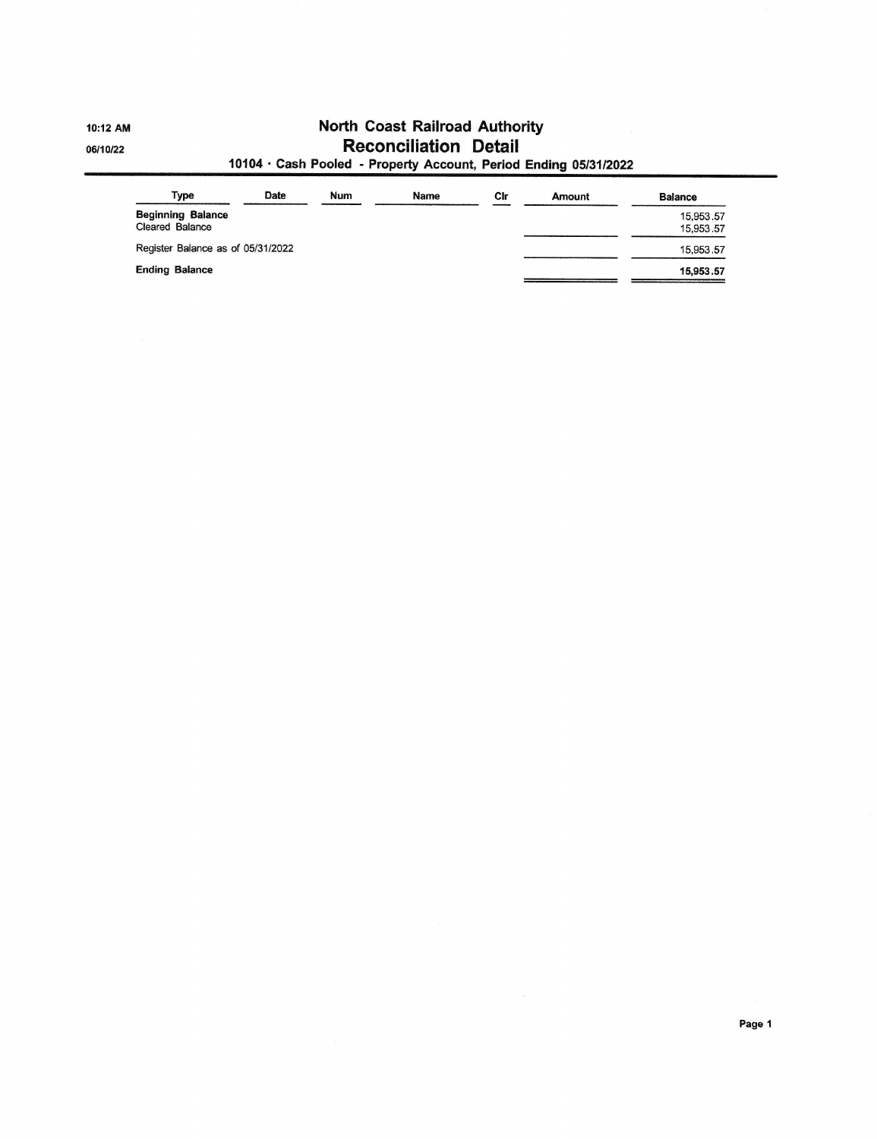10:12 AM 06/10/22

# North Coast Railroad Authority Reconciliation Detail

### 10104. Cash Pooled - Property Account, Period Ending <sup>0513112022</sup>

| Type                                        | Date | Num | Name | Cir | Amount | <b>Balance</b>         |
|---------------------------------------------|------|-----|------|-----|--------|------------------------|
| <b>Beginning Balance</b><br>Cleared Balance |      |     |      |     |        | 15,953.57<br>15,953.57 |
| Register Balance as of 05/31/2022           |      |     |      |     |        | 15,953.57              |
| <b>Ending Balance</b>                       |      |     |      |     |        | 15,953.57              |